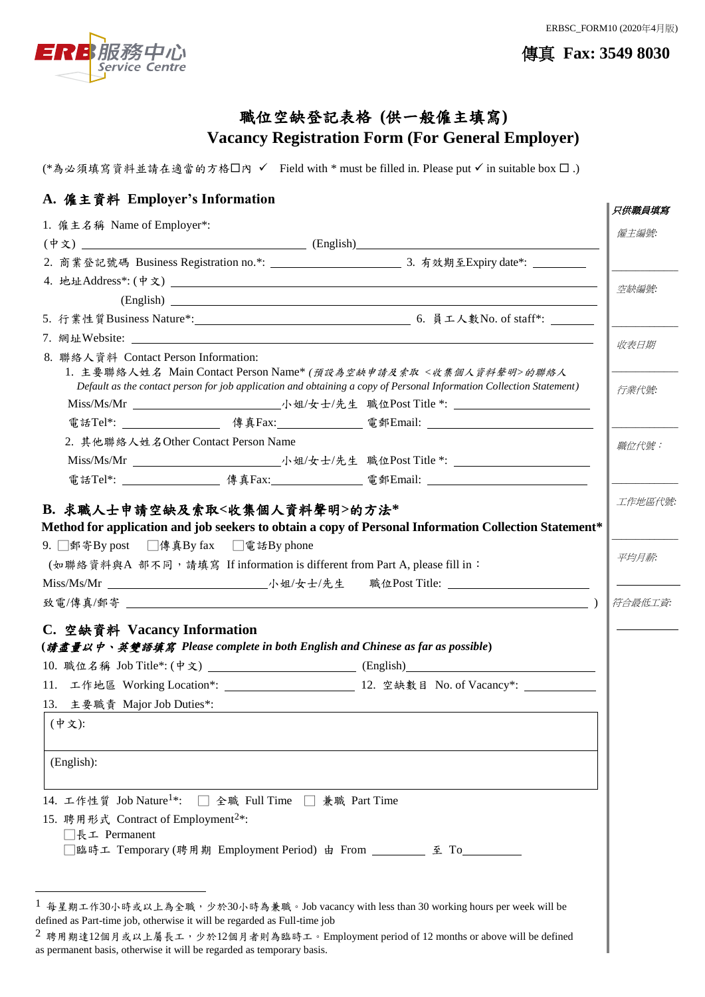ERBSC\_FORM10 (2020年4月版)



傳真 **Fax: 3549 8030**

# 職位空缺登記表格 **(**供一般僱主填寫**) Vacancy Registration Form (For General Employer)**

(\*為必須填寫資料並請在適當的方格口內 V Field with \* must be filled in. Please put V in suitable box  $\square$ .)

## **A.** 僱主資料 **Employer's Information**

| 1. 僱主名稱 Name of Employer*:                                                                                                                                                                                                     |                               |                                                                                        | 只供職員填寫           |
|--------------------------------------------------------------------------------------------------------------------------------------------------------------------------------------------------------------------------------|-------------------------------|----------------------------------------------------------------------------------------|------------------|
|                                                                                                                                                                                                                                |                               |                                                                                        | 僱主編號             |
|                                                                                                                                                                                                                                |                               | $(\dagger \chi)$ (English) (English) (English)                                         |                  |
|                                                                                                                                                                                                                                |                               |                                                                                        |                  |
|                                                                                                                                                                                                                                |                               |                                                                                        | 空缺編號             |
|                                                                                                                                                                                                                                |                               |                                                                                        |                  |
|                                                                                                                                                                                                                                |                               |                                                                                        |                  |
| 7. 網址Website: $\qquad \qquad$                                                                                                                                                                                                  |                               |                                                                                        | 收表日期             |
| 8. 聯絡人資料 Contact Person Information:<br>1. 主要聯絡人姓名 Main Contact Person Name* (預設為空缺申請及索取<收集個人資料聲明>的聯絡人<br>Default as the contact person for job application and obtaining a copy of Personal Information Collection Statement) |                               |                                                                                        | 行業代號             |
|                                                                                                                                                                                                                                |                               |                                                                                        |                  |
|                                                                                                                                                                                                                                |                               |                                                                                        |                  |
| 2. 其他聯絡人姓名Other Contact Person Name                                                                                                                                                                                            |                               |                                                                                        | 職位代號:            |
|                                                                                                                                                                                                                                |                               |                                                                                        |                  |
|                                                                                                                                                                                                                                |                               |                                                                                        |                  |
| 9. ■郵寄By post ■傳真By fax ■電話By phone<br>(如聯絡資料與A 部不同, 請填寫 If information is different from Part A, please fill in:                                                                                                              |                               |                                                                                        | 平均月薪:<br>符合最低工資: |
| C. 空缺資料 Vacancy Information                                                                                                                                                                                                    |                               |                                                                                        |                  |
|                                                                                                                                                                                                                                |                               | (請盡量以中、英雙語填寫 Please complete in both English and Chinese as far as possible)           |                  |
|                                                                                                                                                                                                                                |                               | 10. 職位名稱 Job Title*: (中文) _____________________________(English)_________________      |                  |
|                                                                                                                                                                                                                                |                               |                                                                                        |                  |
| 13. 主要職責 Major Job Duties*:                                                                                                                                                                                                    |                               |                                                                                        |                  |
| (中文):                                                                                                                                                                                                                          |                               |                                                                                        |                  |
| (English):                                                                                                                                                                                                                     |                               |                                                                                        |                  |
| 14. 工作性質 Job Nature <sup>1*</sup> :                                                                                                                                                                                            | □ 全職 Full Time □ 兼職 Part Time |                                                                                        |                  |
| 15. 聘用形式 Contract of Employment <sup>2*</sup> :<br>□長工 Permanent                                                                                                                                                               |                               |                                                                                        |                  |
|                                                                                                                                                                                                                                |                               | 臨時工 Temporary (聘用期 Employment Period) 由 From _________ 至 To___                         |                  |
|                                                                                                                                                                                                                                |                               | 每星期工作30小時或以上為全職,少於30小時為兼職。Job vacancy with less than 30 working hours per week will be |                  |

defined as Part-time job, otherwise it will be regarded as Full-time job

 $^2$  聘用期達12個月或以上屬長工,少於12個月者則為臨時工。Employment period of 12 months or above will be defined as permanent basis, otherwise it will be regarded as temporary basis.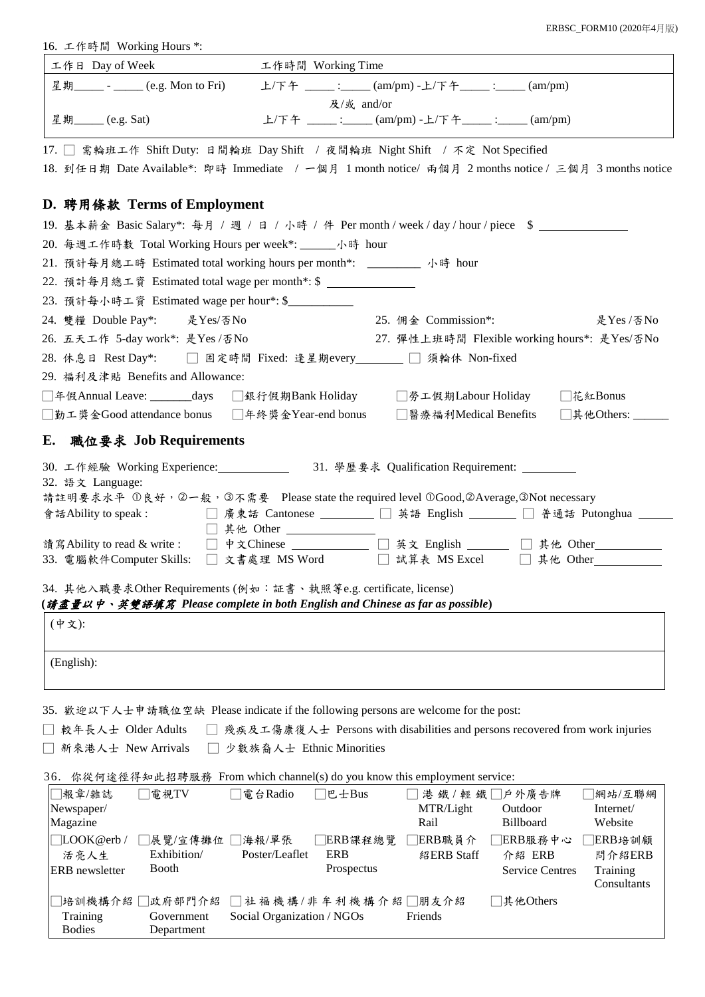ERBSC\_FORM10 (2020年4月版)

|  |  |  | 16. 工作時間 Working Hours *: |  |
|--|--|--|---------------------------|--|
|--|--|--|---------------------------|--|

| 工作日 Day of Week                                                                                                                                   | 工作時間 Working Time                                  |                                                                              |                  |  |  |  |  |
|---------------------------------------------------------------------------------------------------------------------------------------------------|----------------------------------------------------|------------------------------------------------------------------------------|------------------|--|--|--|--|
| 星期_____ - _____ (e.g. Mon to Fri)                                                                                                                 |                                                    | 上/下午 ____: ____(am/pm)-上/下午____: ___(am/pm)                                  |                  |  |  |  |  |
|                                                                                                                                                   | 及/或 and/or                                         |                                                                              |                  |  |  |  |  |
| 星期_____ (e.g. Sat)                                                                                                                                |                                                    | 上/下午 ____ :____ (am/pm) -上/下午____ :____ (am/pm)                              |                  |  |  |  |  |
| 17. □ 需輪班工作 Shift Duty: 日間輪班 Day Shift / 夜間輪班 Night Shift / 不定 Not Specified                                                                      |                                                    |                                                                              |                  |  |  |  |  |
| 18. 到任日期 Date Available*: 即時 Immediate / 一個月 1 month notice/ 兩個月 2 months notice / 三個月 3 months notice                                            |                                                    |                                                                              |                  |  |  |  |  |
|                                                                                                                                                   |                                                    |                                                                              |                  |  |  |  |  |
| D. 聘用條款 Terms of Employment                                                                                                                       |                                                    |                                                                              |                  |  |  |  |  |
| 19. 基本薪金 Basic Salary*: 每月 / 週 / 日 / 小時 / 件 Per month / week / day / hour / piece \$                                                              |                                                    |                                                                              |                  |  |  |  |  |
| 20. 每週工作時數 Total Working Hours per week*: ______小時 hour                                                                                           |                                                    |                                                                              |                  |  |  |  |  |
| 21. 預計每月總工時 Estimated total working hours per month*: ________ 小時 hour                                                                            |                                                    |                                                                              |                  |  |  |  |  |
| 22. 預計每月總工資 Estimated total wage per month*: \$ ______________                                                                                    |                                                    |                                                                              |                  |  |  |  |  |
| 23. 預計每小時工資 Estimated wage per hour*: \$__________                                                                                                |                                                    |                                                                              |                  |  |  |  |  |
| 24. 雙糧 Double Pay*: 是 Yes/否 No                                                                                                                    |                                                    | 25. 佣金 Commission*:                                                          | 是Yes /否No        |  |  |  |  |
| 26. 五天工作 5-day work*: 是Yes /否No                                                                                                                   |                                                    | 27. 彈性上班時間 Flexible working hours*: 是Yes/否No                                 |                  |  |  |  |  |
| 28. 休息日 Rest Day*: □ 固定時間 Fixed: 逢星期every_______ □ 須輪休 Non-fixed                                                                                  |                                                    |                                                                              |                  |  |  |  |  |
| 29. 福利及津貼 Benefits and Allowance:                                                                                                                 |                                                    |                                                                              |                  |  |  |  |  |
| □年假Annual Leave: _______days □銀行假期Bank Holiday   □勞工假期Labour Holiday   □花紅Bonus                                                                   |                                                    |                                                                              |                  |  |  |  |  |
| □勤工獎金Good attendance bonus  □年終獎金Year-end bonus   □醫療福利Medical Benefits  □其他Others: ____                                                          |                                                    |                                                                              |                  |  |  |  |  |
| E. 職位要求 Job Requirements                                                                                                                          |                                                    |                                                                              |                  |  |  |  |  |
| 30. 工作經驗 Working Experience: ________________ 31. 學歷要求 Qualification Requirement: _________                                                       |                                                    |                                                                              |                  |  |  |  |  |
| 32. 語文 Language:                                                                                                                                  |                                                    |                                                                              |                  |  |  |  |  |
| 請註明要求水平 ①良好,②一般,③不需要 Please state the required level ①Good,②Average,③Not necessary                                                                |                                                    |                                                                              |                  |  |  |  |  |
| 會話Ability to speak : □ 廣東話 Cantonese ________ □ 英語 English ______ □ 普通話 Putonghua ___                                                             |                                                    |                                                                              |                  |  |  |  |  |
| 讀寫Ability to read & write: □ 中文Chinese __________ □ 英文 English _____ □ 其他 Other________                                                           | □ 其他 Other _______________                         |                                                                              |                  |  |  |  |  |
| 33. 電腦軟件Computer Skills: □ 文書處理 MS Word □ 試算表 MS Excel □ 其他 Other_                                                                                |                                                    |                                                                              |                  |  |  |  |  |
|                                                                                                                                                   |                                                    |                                                                              |                  |  |  |  |  |
| 34. 其他入職要求Other Requirements (例如:証書、執照等e.g. certificate, license)<br>(請盡量以中、英雙語填寫 Please complete in both English and Chinese as far as possible) |                                                    |                                                                              |                  |  |  |  |  |
| (中文):                                                                                                                                             |                                                    |                                                                              |                  |  |  |  |  |
|                                                                                                                                                   |                                                    |                                                                              |                  |  |  |  |  |
| (English):                                                                                                                                        |                                                    |                                                                              |                  |  |  |  |  |
|                                                                                                                                                   |                                                    |                                                                              |                  |  |  |  |  |
|                                                                                                                                                   |                                                    |                                                                              |                  |  |  |  |  |
| 35. 歡迎以下人士申請職位空缺 Please indicate if the following persons are welcome for the post:                                                               |                                                    |                                                                              |                  |  |  |  |  |
| 較年長人士 Older Adults                                                                                                                                |                                                    | 殘疾及工傷康復人士 Persons with disabilities and persons recovered from work injuries |                  |  |  |  |  |
| 新來港人士 New Arrivals                                                                                                                                | 少數族裔人士 Ethnic Minorities                           |                                                                              |                  |  |  |  |  |
| 36. 你從何途徑得知此招聘服務 From which channel(s) do you know this employment service:                                                                       |                                                    |                                                                              |                  |  |  |  |  |
| 報章/雜誌<br>電視TV                                                                                                                                     | 電台Radio<br>巴士Bus                                   | 港 鐵 / 輕 鐵 □戶外廣告牌                                                             | 網站/互聯網           |  |  |  |  |
| Newspaper/                                                                                                                                        |                                                    | MTR/Light<br>Outdoor                                                         | Internet/        |  |  |  |  |
| Magazine                                                                                                                                          |                                                    | Rail<br><b>Billboard</b>                                                     | Website          |  |  |  |  |
| LOOK@erb/<br>□展覽/宣傳攤位 [<br>Exhibition/<br>活亮人生                                                                                                    | □海報/單張<br> ERB課程總覽<br>Poster/Leaflet<br><b>ERB</b> | □ERB職員介<br>]ERB服務中心<br>紹ERB Staff<br>介紹 ERB                                  | ERB培訓顧<br>問介紹ERB |  |  |  |  |
| <b>Booth</b><br><b>ERB</b> newsletter                                                                                                             | Prospectus                                         | <b>Service Centres</b>                                                       | Training         |  |  |  |  |
|                                                                                                                                                   |                                                    |                                                                              | Consultants      |  |  |  |  |
| 培訓機構介紹 <br> 政府部門介紹                                                                                                                                | ]社 福 機 構 / 非 牟 利 機 構 介 紹 □朋友介紹                     | 其他Others                                                                     |                  |  |  |  |  |
| Government<br>Training<br><b>Bodies</b><br>Department                                                                                             | Social Organization / NGOs                         | Friends                                                                      |                  |  |  |  |  |
|                                                                                                                                                   |                                                    |                                                                              |                  |  |  |  |  |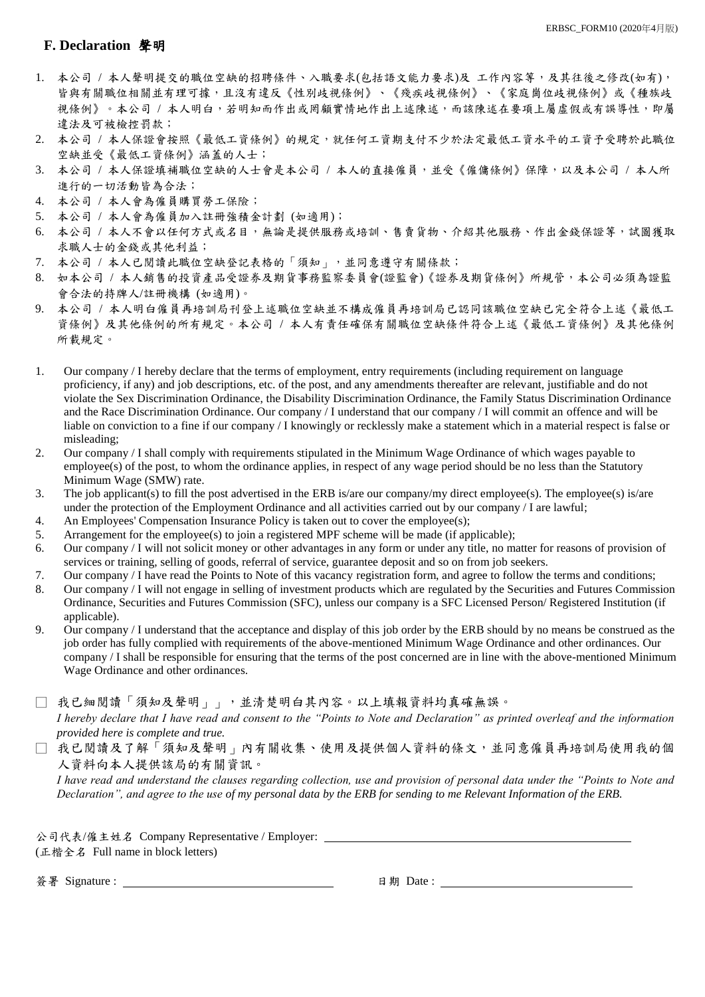### **F. Declaration** 聲明

- 1. 本公司 / 本人聲明提交的職位空缺的招聘條件、入職要求(包括語文能力要求)及 工作內容等,及其往後之修改(如有), 皆與有關職位相關並有理可據,且沒有違反《性別歧視條例》、《殘疾歧視條例》、《家庭崗位歧視條例》或《種族歧 視條例》。本公司 / 本人明白,若明知而作出或罔顧實情地作出上述陳述,而該陳述在要項上屬虛假或有誤導性,即屬 違法及可被檢控罰款;
- 2. 本公司 / 本人保證會按照《最低工資條例》的規定,就任何工資期支付不少於法定最低工資水平的工資予受聘於此職位 空缺並受《最低工資條例》涵蓋的人士;
- 3. 本公司 / 本人保證填補職位空缺的人士會是本公司 / 本人的直接僱員,並受《僱傭條例》保障,以及本公司 / 本人所 進行的一切活動皆為合法;
- 4. 本公司 / 本人會為僱員購買勞工保險;
- 5. 本公司 / 本人會為僱員加入註冊強積金計劃 (如適用);
- 6. 本公司 / 本人不會以任何方式或名目,無論是提供服務或培訓、售賣貨物、介紹其他服務、作出金錢保證等,試圖獲取 求職人士的金錢或其他利益;
- 7. 本公司 / 本人已閱讀此職位空缺登記表格的「須知」,並同意遵守有關條款;
- 8. 如本公司 / 本人銷售的投資產品受證券及期貨事務監察委員會(證監會)《證券及期貨條例》所規管,本公司必須為證監 會合法的持牌人/註冊機構 (如適用)。
- 9. 本公司 / 本人明白僱員再培訓局刊登上述職位空缺並不構成僱員再培訓局已認同該職位空缺已完全符合上述《最低工 資條例》及其他條例的所有規定。本公司 / 本人有責任確保有關職位空缺條件符合上述《最低工資條例》及其他條例 所載規定。
- 1. Our company / I hereby declare that the terms of employment, entry requirements (including requirement on language proficiency, if any) and job descriptions, etc. of the post, and any amendments thereafter are relevant, justifiable and do not violate the Sex Discrimination Ordinance, the Disability Discrimination Ordinance, the Family Status Discrimination Ordinance and the Race Discrimination Ordinance. Our company / I understand that our company / I will commit an offence and will be liable on conviction to a fine if our company / I knowingly or recklessly make a statement which in a material respect is false or misleading;
- 2. Our company / I shall comply with requirements stipulated in the Minimum Wage Ordinance of which wages payable to employee(s) of the post, to whom the ordinance applies, in respect of any wage period should be no less than the Statutory Minimum Wage (SMW) rate.
- 3. The job applicant(s) to fill the post advertised in the ERB is/are our company/my direct employee(s). The employee(s) is/are under the protection of the Employment Ordinance and all activities carried out by our company / I are lawful;
- 4. An Employees' Compensation Insurance Policy is taken out to cover the employee(s);
- 5. Arrangement for the employee(s) to join a registered MPF scheme will be made (if applicable);
- 6. Our company / I will not solicit money or other advantages in any form or under any title, no matter for reasons of provision of services or training, selling of goods, referral of service, guarantee deposit and so on from job seekers.
- 7. Our company / I have read the Points to Note of this vacancy registration form, and agree to follow the terms and conditions;
- 8. Our company / I will not engage in selling of investment products which are regulated by the Securities and Futures Commission Ordinance, Securities and Futures Commission (SFC), unless our company is a SFC Licensed Person/ Registered Institution (if applicable).
- 9. Our company / I understand that the acceptance and display of this job order by the ERB should by no means be construed as the job order has fully complied with requirements of the above-mentioned Minimum Wage Ordinance and other ordinances. Our company / I shall be responsible for ensuring that the terms of the post concerned are in line with the above-mentioned Minimum Wage Ordinance and other ordinances.

□ 我已細閱讀「須知及聲明」」,並清楚明白其內容。以上填報資料均真確無誤。 *I hereby declare that I have read and consent to the "Points to Note and Declaration" as printed overleaf and the information provided here is complete and true.*

□ 我已閱讀及了解「須知及聲明」內有關收集、使用及提供個人資料的條文,並同意僱員再培訓局使用我的個 人資料向本人提供該局的有關資訊。

*I have read and understand the clauses regarding collection, use and provision of personal data under the "Points to Note and Declaration", and agree to the use of my personal data by the ERB for sending to me Relevant Information of the ERB.*

公司代表/僱主姓名 Company Representative / Employer: (正楷全名 Full name in block letters)

簽署 Signature : 日期 Date :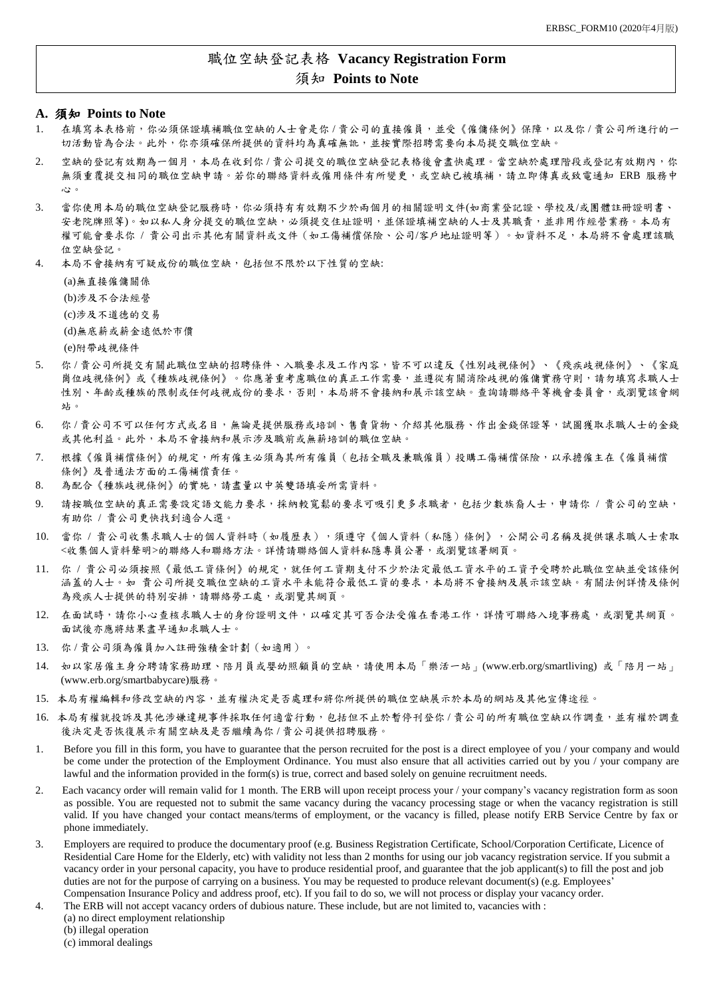### 職位空缺登記表格 **Vacancy Registration Form** 須知 **Points to Note**

### **A.** 須知 **Points to Note**

- 1. 在填寫本表格前,你必須保證填補職位空缺的人士會是你 / 貴公司的直接僱員,並受《僱傭條例》保障,以及你 / 貴公司所進行的一 切活動皆為合法。此外,你亦須確保所提供的資料均為真確無訛,並按實際招聘需要向本局提交職位空缺。
- 2. 空缺的登記有效期為一個月,本局在收到你 / 貴公司提交的職位空缺登記表格後會盡快處理。當空缺於處理階段或登記有效期內,你 無須重覆提交相同的職位空缺申請。若你的聯絡資料或僱用條件有所變更,或空缺已被填補,請立即傳真或致電通知 ERB 服務中 心。
- 3. 當你使用本局的職位空缺登記服務時,你必須持有有效期不少於兩個月的相關證明文件(如商業登記證、學校及/或團體註冊證明書、 安老院牌照等)。如以私人身分提交的職位空缺,必須提交住址證明,並保證填補空缺的人士及其職責,並非用作經營業務。本局有 權可能會要求你 / 貴公司出示其他有關資料或文件(如工傷補償保險、公司/客戶地址證明等)。如資料不足,本局將不會處理該職 位空缺登記。
- 4. 本局不會接納有可疑成份的職位空缺,包括但不限於以下性質的空缺:

(a)無直接僱傭關係 (b)涉及不合法經營 (c)涉及不道德的交易 (d)無底薪或薪金遠低於市價 (e)附帶歧視條件

- 5. 你 / 貴公司所提交有關此職位空缺的招聘條件、入職要求及工作內容,皆不可以違反《性別歧視條例》、《殘疾歧視條例》、《家庭 崗位歧視條例》或《種族歧視條例》。你應著重考慮職位的真正工作需要,並遵從有關消除歧視的僱傭實務守則,請勿填寫求職人士 性別、年齡或種族的限制或任何歧視成份的要求,否則,本局將不會接納和展示該空缺。查詢請聯絡平等機會委員會,或瀏覽該會網 站。
- 6. 你 / 貴公司不可以任何方式或名目,無論是提供服務或培訓、售賣貨物、介紹其他服務、作出金錢保證等,試圖獲取求職人士的金錢 或其他利益。此外,本局不會接納和展示涉及職前或無薪培訓的職位空缺。
- 7. 根據《僱員補償條例》的規定,所有僱主必須為其所有僱員(包括全職及兼職僱員)投購工傷補償保險,以承擔僱主在《僱員補償 條例》及普通法方面的工傷補償責任。
- 8. 為配合《種族歧視條例》的實施,請盡量以中英雙語填妥所需資料。
- 9. 請按職位空缺的真正需要設定語文能力要求,採納較寬鬆的要求可吸引更多求職者,包括少數族裔人士,申請你 / 貴公司的空缺, 有助你 / 貴公司更快找到適合人選。
- 10. 當你 / 貴公司收集求職人士的個人資料時(如履歷表),須遵守《個人資料(私隱)條例》,公開公司名稱及提供讓求職人士索取 <收集個人資料聲明>的聯絡人和聯絡方法。詳情請聯絡個人資料私隱專員公署,或瀏覽該署網頁。
- 11. 你 / 貴公司必須按照《最低工資條例》的規定,就任何工資期支付不少於法定最低工資水平的工資予受聘於此職位空缺並受該條例 涵蓋的人士。如 貴公司所提交職位空缺的工資水平未能符合最低工資的要求,本局將不會接納及展示該空缺。有關法例詳情及條例 為殘疾人士提供的特別安排,請聯絡勞工處,或瀏覽其網頁。
- 12. 在面試時,請你小心查核求職人士的身份證明文件,以確定其可否合法受僱在香港工作,詳情可聯絡入境事務處,或瀏覽其網頁。 面試後亦應將結果盡早通知求職人士。
- 13. 你 / 貴公司須為僱員加入註冊強積金計劃(如適用)。
- 14. 如以家居僱主身分聘請家務助理、陪月員或嬰幼照顧員的空缺,請使用本局「樂活一站」(www.erb.org/smartliving) 或「陪月一站」 (www.erb.org/smartbabycare)服務。
- 15. 本局有權編輯和修改空缺的內容,並有權決定是否處理和將你所提供的職位空缺展示於本局的網站及其他宣傳途徑。
- 16. 本局有權就投訴及其他涉嫌違規事件採取任何適當行動,包括但不止於暫停刊登你 / 貴公司的所有職位空缺以作調查,並有權於調查 後決定是否恢復展示有關空缺及是否繼續為你 / 貴公司提供招聘服務。
- 1. Before you fill in this form, you have to guarantee that the person recruited for the post is a direct employee of you / your company and would be come under the protection of the Employment Ordinance. You must also ensure that all activities carried out by you / your company are lawful and the information provided in the form(s) is true, correct and based solely on genuine recruitment needs.
- 2. Each vacancy order will remain valid for 1 month. The ERB will upon receipt process your / your company's vacancy registration form as soon as possible. You are requested not to submit the same vacancy during the vacancy processing stage or when the vacancy registration is still valid. If you have changed your contact means/terms of employment, or the vacancy is filled, please notify ERB Service Centre by fax or phone immediately.
- 3. Employers are required to produce the documentary proof (e.g. Business Registration Certificate, School/Corporation Certificate, Licence of Residential Care Home for the Elderly, etc) with validity not less than 2 months for using our job vacancy registration service. If you submit a vacancy order in your personal capacity, you have to produce residential proof, and guarantee that the job applicant(s) to fill the post and job duties are not for the purpose of carrying on a business. You may be requested to produce relevant document(s) (e.g. Employees' Compensation Insurance Policy and address proof, etc). If you fail to do so, we will not process or display your vacancy order.
- 4. The ERB will not accept vacancy orders of dubious nature. These include, but are not limited to, vacancies with :
	- (a) no direct employment relationship
	- (b) illegal operation
	- (c) immoral dealings